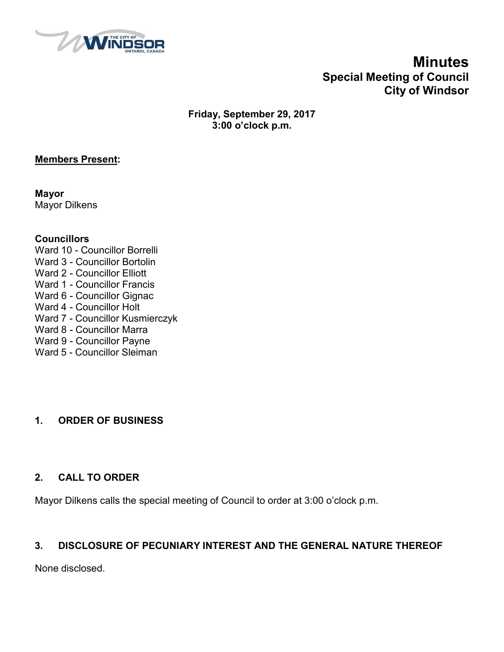

# **Minutes Special Meeting of Council City of Windsor**

**Friday, September 29, 2017 3:00 o'clock p.m.**

#### **Members Present:**

**Mayor** Mayor Dilkens

#### **Councillors**

- Ward 10 Councillor Borrelli Ward 3 - Councillor Bortolin
- Ward 2 Councillor Elliott
- Ward 1 Councillor Francis
- Ward 6 Councillor Gignac
- Ward 4 Councillor Holt
- Ward 7 Councillor Kusmierczyk
- Ward 8 Councillor Marra
- Ward 9 Councillor Payne
- Ward 5 Councillor Sleiman

## **1. ORDER OF BUSINESS**

### **2. CALL TO ORDER**

Mayor Dilkens calls the special meeting of Council to order at 3:00 o'clock p.m.

### **3. DISCLOSURE OF PECUNIARY INTEREST AND THE GENERAL NATURE THEREOF**

None disclosed.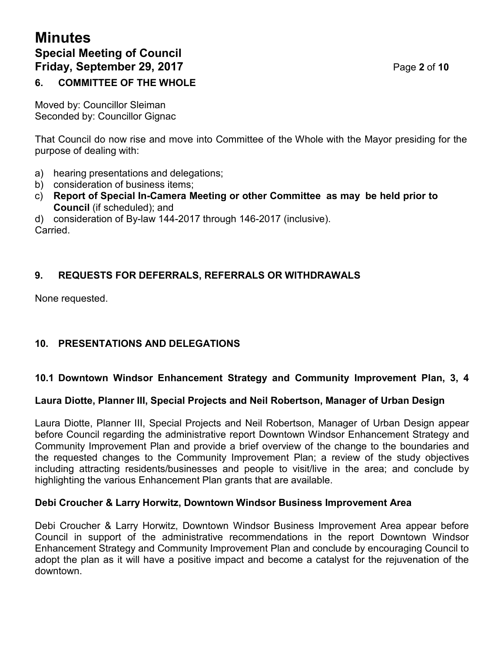# **Minutes Special Meeting of Council Friday, September 29, 2017** Page **2** of **10**

## **6. COMMITTEE OF THE WHOLE**

Moved by: Councillor Sleiman Seconded by: Councillor Gignac

That Council do now rise and move into Committee of the Whole with the Mayor presiding for the purpose of dealing with:

- a) hearing presentations and delegations;
- b) consideration of business items;
- c) **Report of Special In-Camera Meeting or other Committee as may be held prior to Council** (if scheduled); and

d) consideration of By-law 144-2017 through 146-2017 (inclusive). **Carried** 

## **9. REQUESTS FOR DEFERRALS, REFERRALS OR WITHDRAWALS**

None requested.

## **10. PRESENTATIONS AND DELEGATIONS**

### **10.1 Downtown Windsor Enhancement Strategy and Community Improvement Plan, 3, 4**

#### **Laura Diotte, Planner III, Special Projects and Neil Robertson, Manager of Urban Design**

Laura Diotte, Planner III, Special Projects and Neil Robertson, Manager of Urban Design appear before Council regarding the administrative report Downtown Windsor Enhancement Strategy and Community Improvement Plan and provide a brief overview of the change to the boundaries and the requested changes to the Community Improvement Plan; a review of the study objectives including attracting residents/businesses and people to visit/live in the area; and conclude by highlighting the various Enhancement Plan grants that are available.

#### **Debi Croucher & Larry Horwitz, Downtown Windsor Business Improvement Area**

Debi Croucher & Larry Horwitz, Downtown Windsor Business Improvement Area appear before Council in support of the administrative recommendations in the report Downtown Windsor Enhancement Strategy and Community Improvement Plan and conclude by encouraging Council to adopt the plan as it will have a positive impact and become a catalyst for the rejuvenation of the downtown.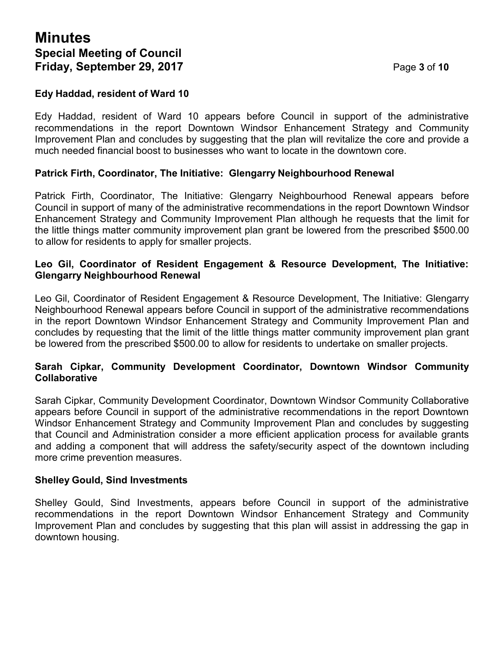#### **Edy Haddad, resident of Ward 10**

Edy Haddad, resident of Ward 10 appears before Council in support of the administrative recommendations in the report Downtown Windsor Enhancement Strategy and Community Improvement Plan and concludes by suggesting that the plan will revitalize the core and provide a much needed financial boost to businesses who want to locate in the downtown core.

#### **Patrick Firth, Coordinator, The Initiative: Glengarry Neighbourhood Renewal**

Patrick Firth, Coordinator, The Initiative: Glengarry Neighbourhood Renewal appears before Council in support of many of the administrative recommendations in the report Downtown Windsor Enhancement Strategy and Community Improvement Plan although he requests that the limit for the little things matter community improvement plan grant be lowered from the prescribed \$500.00 to allow for residents to apply for smaller projects.

#### **Leo Gil, Coordinator of Resident Engagement & Resource Development, The Initiative: Glengarry Neighbourhood Renewal**

Leo Gil, Coordinator of Resident Engagement & Resource Development, The Initiative: Glengarry Neighbourhood Renewal appears before Council in support of the administrative recommendations in the report Downtown Windsor Enhancement Strategy and Community Improvement Plan and concludes by requesting that the limit of the little things matter community improvement plan grant be lowered from the prescribed \$500.00 to allow for residents to undertake on smaller projects.

#### **Sarah Cipkar, Community Development Coordinator, Downtown Windsor Community Collaborative**

Sarah Cipkar, Community Development Coordinator, Downtown Windsor Community Collaborative appears before Council in support of the administrative recommendations in the report Downtown Windsor Enhancement Strategy and Community Improvement Plan and concludes by suggesting that Council and Administration consider a more efficient application process for available grants and adding a component that will address the safety/security aspect of the downtown including more crime prevention measures.

#### **Shelley Gould, Sind Investments**

Shelley Gould, Sind Investments, appears before Council in support of the administrative recommendations in the report Downtown Windsor Enhancement Strategy and Community Improvement Plan and concludes by suggesting that this plan will assist in addressing the gap in downtown housing.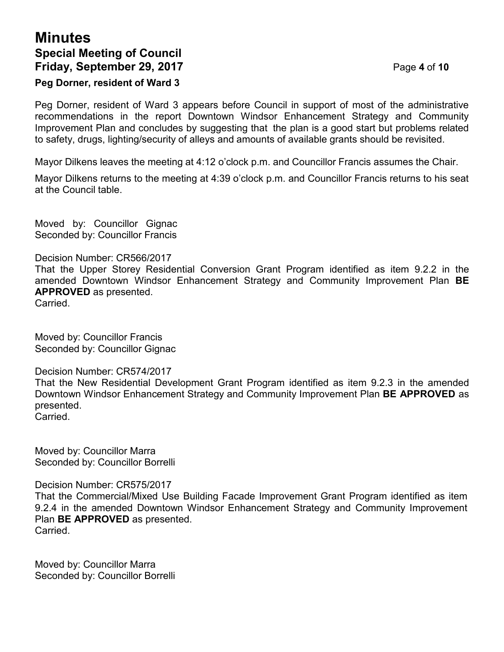# **Minutes Special Meeting of Council Friday, September 29, 2017** Page **4** of **10**

### **Peg Dorner, resident of Ward 3**

Peg Dorner, resident of Ward 3 appears before Council in support of most of the administrative recommendations in the report Downtown Windsor Enhancement Strategy and Community Improvement Plan and concludes by suggesting that the plan is a good start but problems related to safety, drugs, lighting/security of alleys and amounts of available grants should be revisited.

Mayor Dilkens leaves the meeting at 4:12 o'clock p.m. and Councillor Francis assumes the Chair.

Mayor Dilkens returns to the meeting at 4:39 o'clock p.m. and Councillor Francis returns to his seat at the Council table.

Moved by: Councillor Gignac Seconded by: Councillor Francis

#### Decision Number: CR566/2017

That the Upper Storey Residential Conversion Grant Program identified as item 9.2.2 in the amended Downtown Windsor Enhancement Strategy and Community Improvement Plan **BE APPROVED** as presented.

Carried.

Moved by: Councillor Francis Seconded by: Councillor Gignac

Decision Number: CR574/2017

That the New Residential Development Grant Program identified as item 9.2.3 in the amended Downtown Windsor Enhancement Strategy and Community Improvement Plan **BE APPROVED** as presented. Carried.

Moved by: Councillor Marra Seconded by: Councillor Borrelli

Decision Number: CR575/2017

That the Commercial/Mixed Use Building Facade Improvement Grant Program identified as item 9.2.4 in the amended Downtown Windsor Enhancement Strategy and Community Improvement Plan **BE APPROVED** as presented. Carried.

Moved by: Councillor Marra Seconded by: Councillor Borrelli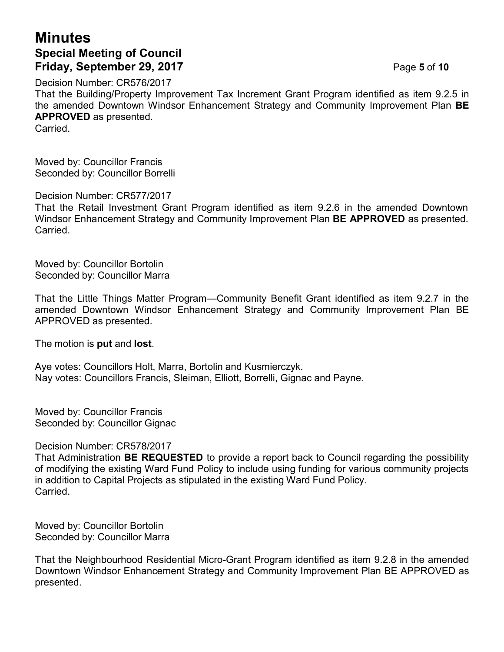# **Minutes Special Meeting of Council Friday, September 29, 2017** Page **5** of **10**

Decision Number: CR576/2017

That the Building/Property Improvement Tax Increment Grant Program identified as item 9.2.5 in the amended Downtown Windsor Enhancement Strategy and Community Improvement Plan **BE APPROVED** as presented.

**Carried** 

Moved by: Councillor Francis Seconded by: Councillor Borrelli

Decision Number: CR577/2017

That the Retail Investment Grant Program identified as item 9.2.6 in the amended Downtown Windsor Enhancement Strategy and Community Improvement Plan **BE APPROVED** as presented. Carried.

Moved by: Councillor Bortolin Seconded by: Councillor Marra

That the Little Things Matter Program—Community Benefit Grant identified as item 9.2.7 in the amended Downtown Windsor Enhancement Strategy and Community Improvement Plan BE APPROVED as presented.

The motion is **put** and **lost**.

Aye votes: Councillors Holt, Marra, Bortolin and Kusmierczyk. Nay votes: Councillors Francis, Sleiman, Elliott, Borrelli, Gignac and Payne.

Moved by: Councillor Francis Seconded by: Councillor Gignac

Decision Number: CR578/2017

That Administration **BE REQUESTED** to provide a report back to Council regarding the possibility of modifying the existing Ward Fund Policy to include using funding for various community projects in addition to Capital Projects as stipulated in the existing Ward Fund Policy. Carried.

Moved by: Councillor Bortolin Seconded by: Councillor Marra

That the Neighbourhood Residential Micro-Grant Program identified as item 9.2.8 in the amended Downtown Windsor Enhancement Strategy and Community Improvement Plan BE APPROVED as presented.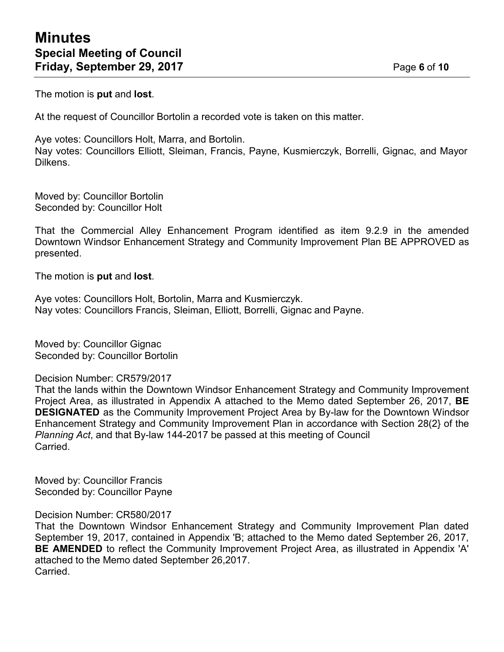The motion is **put** and **lost**.

At the request of Councillor Bortolin a recorded vote is taken on this matter.

Aye votes: Councillors Holt, Marra, and Bortolin. Nay votes: Councillors Elliott, Sleiman, Francis, Payne, Kusmierczyk, Borrelli, Gignac, and Mayor Dilkens.

Moved by: Councillor Bortolin Seconded by: Councillor Holt

That the Commercial Alley Enhancement Program identified as item 9.2.9 in the amended Downtown Windsor Enhancement Strategy and Community Improvement Plan BE APPROVED as presented.

The motion is **put** and **lost**.

Aye votes: Councillors Holt, Bortolin, Marra and Kusmierczyk. Nay votes: Councillors Francis, Sleiman, Elliott, Borrelli, Gignac and Payne.

Moved by: Councillor Gignac Seconded by: Councillor Bortolin

Decision Number: CR579/2017

That the lands within the Downtown Windsor Enhancement Strategy and Community Improvement Project Area, as illustrated in Appendix A attached to the Memo dated September 26, 2017, **BE DESIGNATED** as the Community Improvement Project Area by By-law for the Downtown Windsor Enhancement Strategy and Community Improvement Plan in accordance with Section 28(2} of the *Planning Act*, and that By-law 144-2017 be passed at this meeting of Council Carried.

Moved by: Councillor Francis Seconded by: Councillor Payne

Decision Number: CR580/2017

That the Downtown Windsor Enhancement Strategy and Community Improvement Plan dated September 19, 2017, contained in Appendix 'B; attached to the Memo dated September 26, 2017, **BE AMENDED** to reflect the Community Improvement Project Area, as illustrated in Appendix 'A' attached to the Memo dated September 26,2017. Carried.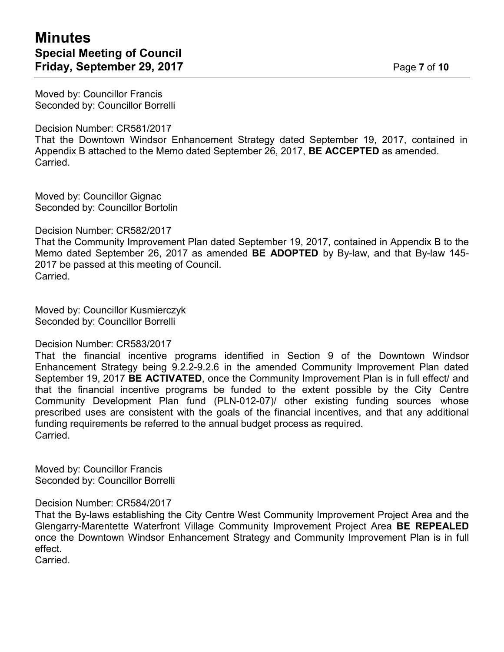Moved by: Councillor Francis Seconded by: Councillor Borrelli

Decision Number: CR581/2017

That the Downtown Windsor Enhancement Strategy dated September 19, 2017, contained in Appendix B attached to the Memo dated September 26, 2017, **BE ACCEPTED** as amended. Carried.

Moved by: Councillor Gignac Seconded by: Councillor Bortolin

Decision Number: CR582/2017

That the Community Improvement Plan dated September 19, 2017, contained in Appendix B to the Memo dated September 26, 2017 as amended **BE ADOPTED** by By-law, and that By-law 145- 2017 be passed at this meeting of Council. Carried.

Moved by: Councillor Kusmierczyk Seconded by: Councillor Borrelli

Decision Number: CR583/2017

That the financial incentive programs identified in Section 9 of the Downtown Windsor Enhancement Strategy being 9.2.2-9.2.6 in the amended Community Improvement Plan dated September 19, 2017 **BE ACTIVATED**, once the Community Improvement Plan is in full effect/ and that the financial incentive programs be funded to the extent possible by the City Centre Community Development Plan fund (PLN-012-07)/ other existing funding sources whose prescribed uses are consistent with the goals of the financial incentives, and that any additional funding requirements be referred to the annual budget process as required. Carried.

Moved by: Councillor Francis Seconded by: Councillor Borrelli

Decision Number: CR584/2017

That the By-laws establishing the City Centre West Community Improvement Project Area and the Glengarry-Marentette Waterfront Village Community Improvement Project Area **BE REPEALED** once the Downtown Windsor Enhancement Strategy and Community Improvement Plan is in full effect.

Carried.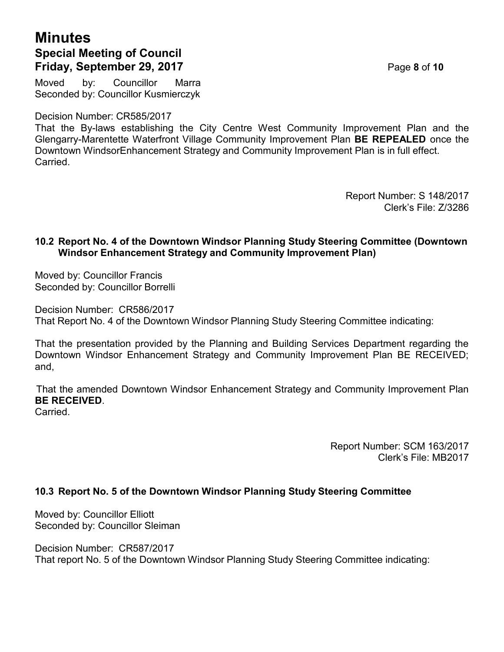# **Minutes Special Meeting of Council Friday, September 29, 2017** Page **8** of **10**

Moved by: Councillor Marra Seconded by: Councillor Kusmierczyk

Decision Number: CR585/2017

That the By-laws establishing the City Centre West Community Improvement Plan and the Glengarry-Marentette Waterfront Village Community Improvement Plan **BE REPEALED** once the Downtown WindsorEnhancement Strategy and Community Improvement Plan is in full effect. Carried.

> Report Number: S 148/2017 Clerk's File: Z/3286

#### **10.2 Report No. 4 of the Downtown Windsor Planning Study Steering Committee (Downtown Windsor Enhancement Strategy and Community Improvement Plan)**

Moved by: Councillor Francis Seconded by: Councillor Borrelli

Decision Number: CR586/2017 That Report No. 4 of the Downtown Windsor Planning Study Steering Committee indicating:

That the presentation provided by the Planning and Building Services Department regarding the Downtown Windsor Enhancement Strategy and Community Improvement Plan BE RECEIVED; and,

That the amended Downtown Windsor Enhancement Strategy and Community Improvement Plan **BE RECEIVED**.

Carried.

Report Number: SCM 163/2017 Clerk's File: MB2017

### **10.3 Report No. 5 of the Downtown Windsor Planning Study Steering Committee**

Moved by: Councillor Elliott Seconded by: Councillor Sleiman

Decision Number: CR587/2017 That report No. 5 of the Downtown Windsor Planning Study Steering Committee indicating: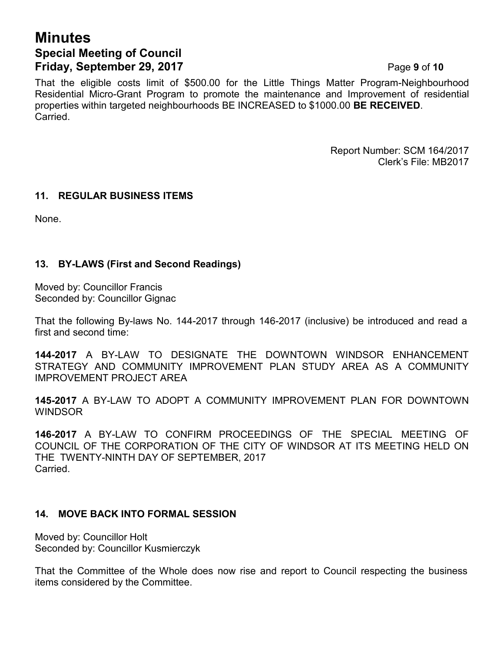# **Minutes Special Meeting of Council Friday, September 29, 2017** Page **9** of **10**

That the eligible costs limit of \$500.00 for the Little Things Matter Program-Neighbourhood Residential Micro-Grant Program to promote the maintenance and Improvement of residential properties within targeted neighbourhoods BE INCREASED to \$1000.00 **BE RECEIVED**. Carried.

> Report Number: SCM 164/2017 Clerk's File: MB2017

#### **11. REGULAR BUSINESS ITEMS**

None.

#### **13. BY-LAWS (First and Second Readings)**

Moved by: Councillor Francis Seconded by: Councillor Gignac

That the following By-laws No. 144-2017 through 146-2017 (inclusive) be introduced and read a first and second time:

**144-2017** A BY-LAW TO DESIGNATE THE DOWNTOWN WINDSOR ENHANCEMENT STRATEGY AND COMMUNITY IMPROVEMENT PLAN STUDY AREA AS A COMMUNITY IMPROVEMENT PROJECT AREA

**145-2017** A BY-LAW TO ADOPT A COMMUNITY IMPROVEMENT PLAN FOR DOWNTOWN WINDSOR

**146-2017** A BY-LAW TO CONFIRM PROCEEDINGS OF THE SPECIAL MEETING OF COUNCIL OF THE CORPORATION OF THE CITY OF WINDSOR AT ITS MEETING HELD ON THE TWENTY-NINTH DAY OF SEPTEMBER, 2017 Carried.

#### **14. MOVE BACK INTO FORMAL SESSION**

Moved by: Councillor Holt Seconded by: Councillor Kusmierczyk

That the Committee of the Whole does now rise and report to Council respecting the business items considered by the Committee.